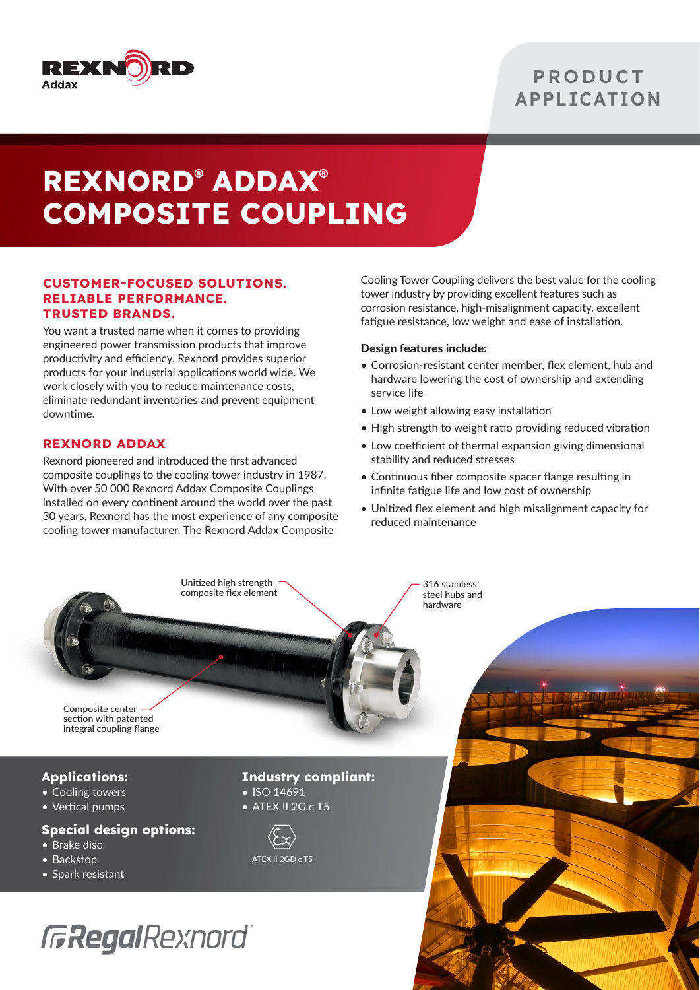

### **PRODUCT APPLICATION**

# **REXNORD® ADDAX® COMPOSITE COUPLING**

#### **CUSTOMER-FOCUSED SOLUTIONS. RELIABLE PERFORMANCE. TRUSTED BRANDS.**

You want a trusted name when it comes to providing engineered power transmission products that improve productivity and efficiency. Rexnord provides superior products for your industrial applications world wide. We work closely with you to reduce maintenance costs, eliminate redundant inventories and prevent equipment downtime.

#### **REXNORD ADDAX**

Rexnord pioneered and introduced the first advanced composite couplings to the cooling tower industry in 1987. With over 50 000 Rexnord Addax Composite Couplings installed on every continent around the world over the past 30 years, Rexnord has the most experience of any composite cooling tower manufacturer. The Rexnord Addax Composite

Cooling Tower Coupling delivers the best value for the cooling tower industry by providing excellent features such as corrosion resistance, high-misalignment capacity, excellent fatigue resistance, low weight and ease of installation.

#### Design features include:

- Corrosion-resistant center member, flex element, hub and hardware lowering the cost of ownership and extending service life
- Low weight allowing easy installation
- High strength to weight ratio providing reduced vibration
- Low coefficient of thermal expansion giving dimensional stability and reduced stresses
- Continuous fiber composite spacer flange resulting in infinite fatigue life and low cost of ownership
- Unitized flex element and high misalignment capacity for reduced maintenance

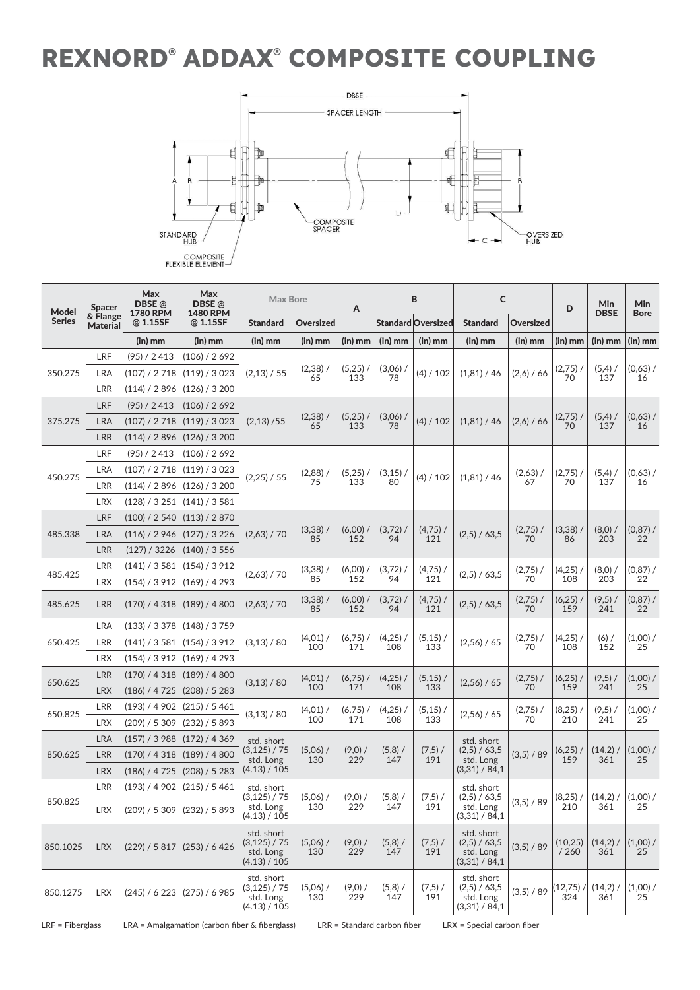## **REXNORD® ADDAX® COMPOSITE COUPLING**



| Model<br><b>Series</b> | <b>Spacer</b><br>& Flange<br><b>Material</b> | Max<br>DBSE@<br><b>1780 RPM</b><br>@ 1.15SF | Max<br>DBSE@<br><b>1480 RPM</b><br>@ 1.15SF | <b>Max Bore</b>                                          |                   | A                 | B                 |                           | C                                                        |                  | D                  | Min<br><b>DBSE</b> | Min              |
|------------------------|----------------------------------------------|---------------------------------------------|---------------------------------------------|----------------------------------------------------------|-------------------|-------------------|-------------------|---------------------------|----------------------------------------------------------|------------------|--------------------|--------------------|------------------|
|                        |                                              |                                             |                                             | <b>Standard</b>                                          | Oversized         |                   |                   | <b>Standard Oversized</b> | <b>Standard</b>                                          | Oversized        |                    |                    | <b>Bore</b>      |
|                        |                                              | $(in)$ mm                                   | $(in)$ mm                                   | $(in)$ mm                                                | $(in)$ mm         | (in) mm           | $(in)$ mm         | $(in)$ mm                 | (in) mm                                                  | (in) mm          | (in) mm            | $(in)$ mm          | $(in)$ mm        |
| 350.275                | LRF                                          | (95) / 2413                                 | (106) / 2692                                | (2,13) / 55                                              | $(2,38)$ /<br>65  | $(5,25)$ /<br>133 | $(3,06)$ /<br>78  | (4) / 102                 | (1,81) / 46                                              | (2,6) / 66       | $(2,75)$ /<br>70   | $(5,4)$ /<br>137   | (0,63) /<br>16   |
|                        | LRA                                          | (107) / 2 718                               | (119) / 3023                                |                                                          |                   |                   |                   |                           |                                                          |                  |                    |                    |                  |
|                        | <b>LRR</b>                                   | (114) / 2 896                               | (126) / 3200                                |                                                          |                   |                   |                   |                           |                                                          |                  |                    |                    |                  |
| 375.275                | LRF                                          | (95) / 2413                                 | (106) / 2692                                |                                                          | $(2,38)$ /<br>65  | $(5,25)$ /<br>133 | $(3,06)$ /<br>78  | (4) / 102                 | (1,81) / 46                                              | (2,6) / 66       | $(2,75)$ /<br>70   | $(5,4)$ /<br>137   | (0,63) /<br>16   |
|                        | LRA                                          | (107) / 2 718                               | (119) / 3023                                | (2,13)/55                                                |                   |                   |                   |                           |                                                          |                  |                    |                    |                  |
|                        | LRR                                          | (114) / 2896                                | (126) / 3200                                |                                                          |                   |                   |                   |                           |                                                          |                  |                    |                    |                  |
| 450.275                | LRF                                          | (95) / 2413                                 | (106) / 2692                                | (2,25) / 55                                              | $(2,88)$ /<br>75  | $(5,25)$ /<br>133 | (3,15)<br>80      | (4) / 102                 | (1,81) / 46                                              | $(2,63)$ /<br>67 | $(2,75)$ /<br>70   | $(5,4)$ /<br>137   | $(0,63)$ /<br>16 |
|                        | <b>LRA</b>                                   | (107) / 2718                                | (119) / 3023                                |                                                          |                   |                   |                   |                           |                                                          |                  |                    |                    |                  |
|                        | <b>LRR</b>                                   | (114)/2896                                  | (126) / 3200                                |                                                          |                   |                   |                   |                           |                                                          |                  |                    |                    |                  |
|                        | <b>LRX</b>                                   | (128) / 3 251                               | (141) / 3581                                |                                                          |                   |                   |                   |                           |                                                          |                  |                    |                    |                  |
| 485.338                | LRF                                          | (100) / 2 540                               | (113) / 2870                                | (2,63) / 70                                              | $(3,38)$ /<br>85  | $(6,00)$ /<br>152 | $(3,72)$ /<br>94  | $(4,75)$ /<br>121         | (2,5) / 63,5                                             | $(2,75)$ /<br>70 | $(3,38)$ /<br>86   | $(8,0)$ /<br>203   | (0, 87) /<br>22  |
|                        | <b>LRA</b>                                   | (116) / 2 946                               | (127) / 3226                                |                                                          |                   |                   |                   |                           |                                                          |                  |                    |                    |                  |
|                        | <b>LRR</b>                                   | (127) / 3226                                | (140) / 3 556                               |                                                          |                   |                   |                   |                           |                                                          |                  |                    |                    |                  |
| 485.425                | LRR                                          | (141) / 3 581                               | (154) / 3912                                | (2,63) / 70                                              | $(3,38)$ /<br>85  | $(6,00)$ /<br>152 | $(3,72)$ /<br>94  | $(4,75)$ /<br>121         | (2,5) / 63,5                                             | $(2,75)$ /       | $(4,25)$ /<br>108  | $(8,0)$ /          | $(0,87)$ /       |
|                        | <b>LRX</b>                                   | (154) / 3912                                | (169) / 4293                                |                                                          |                   |                   |                   |                           |                                                          | 70               |                    | 203                | 22               |
| 485.625                | LRR                                          | (170) / 4318                                | (189) / 4800                                | (2,63) / 70                                              | $(3,38)$ /<br>85  | $(6,00)$ /<br>152 | $(3,72)$ /<br>94  | $(4,75)$ /<br>121         | (2,5) / 63,5                                             | $(2,75)$ /<br>70 | $(6,25)$ /<br>159  | $(9,5)$ /<br>241   | (0, 87) /<br>22  |
|                        | <b>LRA</b>                                   | (133) / 3378                                | (148) / 3759                                | (3,13) / 80                                              | (4,01)<br>100     | $(6,75)$ /<br>171 | $(4,25)$ /<br>108 | $(5,15)$ /<br>133         | (2,56) / 65                                              | $(2,75)$ /<br>70 | $(4,25)$ /<br>108  | $(6)$ /<br>152     | $(1,00)$ /<br>25 |
| 650.425                | LRR                                          | (141) / 3581                                | (154) / 3912                                |                                                          |                   |                   |                   |                           |                                                          |                  |                    |                    |                  |
|                        | <b>LRX</b>                                   | (154) / 3 912                               | (169) / 4293                                |                                                          |                   |                   |                   |                           |                                                          |                  |                    |                    |                  |
|                        | LRR                                          | (170) / 4318                                | (189) / 4800                                | (3,13) / 80                                              | $(4,01)$ /<br>100 | $(6,75)$ /<br>171 | $(4,25)$ /<br>108 | $(5,15)$ /<br>133         | (2,56) / 65                                              | $(2,75)$ /<br>70 | $(6,25)$ /<br>159  | $(9,5)$ /<br>241   | (1,00) /<br>25   |
| 650.625                | <b>LRX</b>                                   | (186) / 4725                                | (208) / 5283                                |                                                          |                   |                   |                   |                           |                                                          |                  |                    |                    |                  |
|                        | LRR                                          | (193) / 4 902                               | (215) / 5461                                | (3,13) / 80                                              | $(4,01)$ /<br>100 | $(6,75)$ /<br>171 | $(4,25)$ /<br>108 | $(5,15)$ /<br>133         | (2,56) / 65                                              | $(2,75)$ /<br>70 | $(8,25)$ /<br>210  | $(9,5)$ /<br>241   | $(1,00)$ /<br>25 |
| 650.825                | <b>LRX</b>                                   | (209) / 5 309                               | (232) / 5893                                |                                                          |                   |                   |                   |                           |                                                          |                  |                    |                    |                  |
| 850.625                | <b>LRA</b>                                   | (157) / 3988                                | (172) / 4369                                | std. short<br>(3, 125) / 75<br>std. Long                 | $(5,06)$ /<br>130 | $(9,0)$ /<br>229  | $(5,8)$ /<br>147  | $(7,5)$ /<br>191          | std. short<br>(2,5) / 63,5<br>std. Long<br>(3,31) / 84,1 | (3,5) / 89       | $(6,25)$ /<br>159  | (14,2)<br>361      | $(1,00)$ /<br>25 |
|                        | <b>LRR</b>                                   | (170) / 4318                                | (189) / 4800                                |                                                          |                   |                   |                   |                           |                                                          |                  |                    |                    |                  |
|                        | <b>LRX</b>                                   | (186) / 4 725                               | (208) / 5283                                | (4.13) / 105                                             |                   |                   |                   |                           |                                                          |                  |                    |                    |                  |
| 850.825                | LRR                                          | (193) / 4 902                               | (215) / 5461                                | std. short                                               | $(5,06)$ /<br>130 | $(9,0)$ /<br>229  | $(5,8)$ /<br>147  | $(7,5)$ /<br>191          | std. short<br>(2,5) / 63,5<br>std. Long<br>(3,31) / 84,1 |                  |                    |                    |                  |
|                        | LRX                                          |                                             | (209) / 5309   (232) / 5893                 | (3,125) / 75<br>std. Long<br>(4.13) / 105                |                   |                   |                   |                           |                                                          | (3,5) / 89       | $(8,25)$ /<br>210  | $(14,2)$ /<br>361  | (1,00) /<br>25   |
| 850.1025               | <b>LRX</b>                                   | (229) / 5817                                | (253) / 6426                                | std. short<br>(3, 125) / 75<br>std. Long<br>(4.13) / 105 | $(5,06)$ /<br>130 | $(9,0)$ /<br>229  | $(5,8)$ /<br>147  | $(7,5)$ /<br>191          | std. short<br>(2,5) / 63,5<br>std. Long<br>(3,31) / 84,1 | (3,5) / 89       | (10, 25)<br>/260   | $(14,2)$ /<br>361  | $(1,00)$ /<br>25 |
| 850.1275               | <b>LRX</b>                                   | (245) / 6 223                               | (275) / 6985                                | std. short<br>(3, 125) / 75<br>std. Long<br>(4.13) / 105 | $(5,06)$ /<br>130 | $(9,0)$ /<br>229  | $(5,8)$ /<br>147  | $(7,5)$ /<br>191          | std. short<br>(2,5) / 63,5<br>std. Long<br>(3,31) / 84,1 | (3,5) / 89       | $(12,75)$ /<br>324 | (14,2)<br>361      | (1,00) /<br>25   |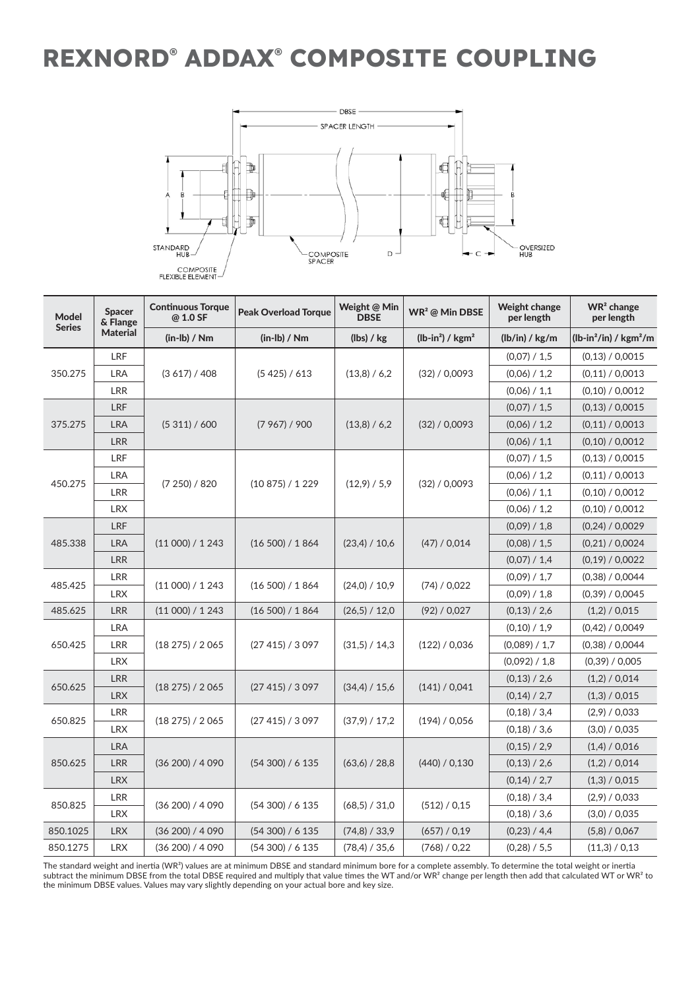### **REXNORD® ADDAX® COMPOSITE COUPLING**



| <b>Model</b><br><b>Series</b> | <b>Spacer</b><br>& Flange | <b>Continuous Torque</b><br>@ 1.0 SF | <b>Peak Overload Torque</b> | Weight @ Min<br><b>DBSE</b> | $WR2$ @ Min DBSE              | <b>Weight change</b><br>per length | WR <sup>2</sup> change<br>per length |  |
|-------------------------------|---------------------------|--------------------------------------|-----------------------------|-----------------------------|-------------------------------|------------------------------------|--------------------------------------|--|
|                               | <b>Material</b>           | $(in-lb) / Nm$                       | $(in-lb) / Nm$              | (lbs) / kg                  | $(lb-in2)$ / kgm <sup>2</sup> | (lb/in) / kg/m                     | $(lb-in^2/in) / kgm^2/m$             |  |
| 350.275                       | LRF                       |                                      |                             | (13,8) / 6,2                |                               | (0,07) / 1,5                       | (0,13) / 0,0015                      |  |
|                               | <b>LRA</b>                | (3617)/408                           | (5425) / 613                |                             | (32) / 0,0093                 | (0.06) / 1.2                       | (0,11) / 0,0013                      |  |
|                               | <b>LRR</b>                |                                      |                             |                             |                               | (0.06) / 1.1                       | (0,10) / 0,0012                      |  |
| 375.275                       | LRF                       |                                      |                             |                             |                               | (0,07) / 1,5                       | (0,13) / 0,0015                      |  |
|                               | <b>LRA</b>                | (5311)/600                           | (7967) / 900                | (13,8) / 6,2                | (32) / 0,0093                 | (0,06) / 1,2                       | (0,11) / 0,0013                      |  |
|                               | LRR                       |                                      |                             |                             |                               | (0,06) / 1,1                       | (0,10) / 0,0012                      |  |
|                               | LRF                       |                                      | (10 875) / 1 229            | (12,9) / 5,9                | (32) / 0,0093                 | (0.07) / 1.5                       | (0,13) / 0,0015                      |  |
|                               | <b>LRA</b>                |                                      |                             |                             |                               | (0,06) / 1,2                       | (0,11) / 0,0013                      |  |
| 450.275                       | <b>LRR</b>                | (7250)/820                           |                             |                             |                               | (0,06) / 1,1                       | (0,10) / 0,0012                      |  |
|                               | <b>LRX</b>                |                                      |                             |                             |                               | (0.06) / 1.2                       | (0,10) / 0,0012                      |  |
| 485.338                       | LRF                       |                                      | (16 500) / 1 864            | (23,4) / 10,6               |                               | (0.09) / 1.8                       | (0,24) / 0,0029                      |  |
|                               | <b>LRA</b>                | (11000) / 1243                       |                             |                             | (47) / 0,014                  | (0,08) / 1,5                       | (0,21) / 0,0024                      |  |
|                               | <b>LRR</b>                |                                      |                             |                             |                               | (0,07) / 1,4                       | (0,19) / 0,0022                      |  |
| 485.425                       | LRR                       |                                      |                             |                             |                               | (0,09) / 1,7                       | (0,38) / 0,0044                      |  |
|                               | <b>LRX</b>                | (11000) / 1243                       | (16 500) / 1864             | (24.0) / 10.9               | (74) / 0.022                  | (0,09) / 1,8                       | (0,39) / 0,0045                      |  |
| 485.625                       | LRR                       | (11 000) / 1 243                     | (16 500) / 1 864            | (26,5) / 12,0               | (92) / 0,027                  | (0,13) / 2,6                       | (1,2) / 0,015                        |  |
| 650.425                       | LRA                       |                                      | (27415) / 3097              | (31,5) / 14,3               |                               | (0,10) / 1,9                       | (0,42) / 0,0049                      |  |
|                               | LRR                       | (18 275) / 2 065                     |                             |                             | (122) / 0,036                 | (0,089) / 1,7                      | (0,38) / 0,0044                      |  |
|                               | <b>LRX</b>                |                                      |                             |                             |                               | (0,092) / 1,8                      | (0,39) / 0,005                       |  |
|                               | LRR                       |                                      |                             |                             |                               | (0,13) / 2,6                       | (1,2) / 0,014                        |  |
| 650.625                       | <b>LRX</b>                | (18 275) / 2 065                     | (27415) / 3097              | (34,4) / 15,6               | (141) / 0.041                 | (0.14) / 2.7                       | (1,3) / 0,015                        |  |
|                               | LRR                       |                                      |                             |                             |                               | (0,18) / 3,4                       | (2,9) / 0,033                        |  |
| 650.825                       | <b>LRX</b>                | (18275) / 2065                       | (27 415) / 3 097            | (37,9) / 17,2               | (194) / 0.056                 | (0,18) / 3,6                       | (3,0) / 0,035                        |  |
| 850.625                       | <b>LRA</b>                |                                      | (54300) / 6135              | (63,6) / 28,8               |                               | (0.15) / 2.9                       | (1,4) / 0,016                        |  |
|                               | <b>LRR</b>                | (36 200) / 4 090                     |                             |                             | (440) / 0,130                 | (0,13) / 2,6                       | (1,2) / 0.014                        |  |
|                               | <b>LRX</b>                |                                      |                             |                             |                               | (0,14) / 2,7                       | (1,3) / 0,015                        |  |
| 850.825                       | <b>LRR</b>                |                                      |                             |                             |                               | (0,18) / 3,4                       | (2,9) / 0,033                        |  |
|                               | <b>LRX</b>                | (36 200) / 4 090                     | (54 300) / 6 135            | (68,5) / 31,0               | (512) / 0.15                  | (0,18) / 3,6                       | (3,0) / 0,035                        |  |
| 850.1025                      | <b>LRX</b>                | (36 200) / 4 090                     | (54300) / 6135              | (74,8) / 33,9               | (657) / 0,19                  | (0,23) / 4,4                       | (5,8) / 0,067                        |  |
| 850.1275                      | <b>LRX</b>                | (36 200) / 4 090                     | (54 300) / 6 135            | (78,4) / 35,6               | (768) / 0.22                  | (0,28) / 5,5                       | (11,3) / 0,13                        |  |

The standard weight and inertia (WR²) values are at minimum DBSE and standard minimum bore for a complete assembly. To determine the total weight or inertia subtract the minimum DBSE from the total DBSE required and multiply that value times the WT and/or WR $^2$  change per length then add that calculated WT or WR $^2$  to the minimum DBSE values. Values may vary slightly depending on your actual bore and key size.